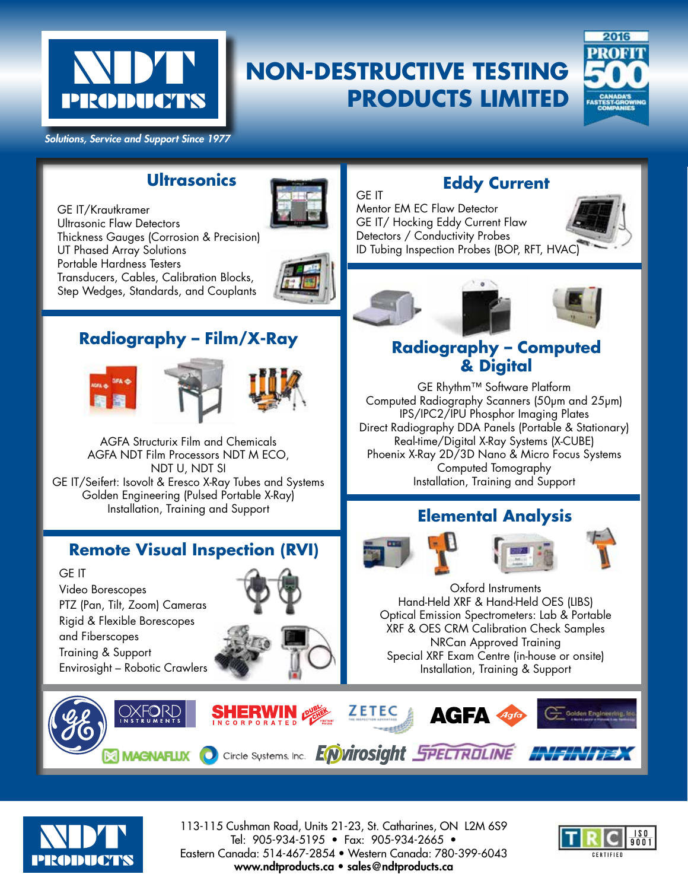

# **NON-DESTRUCTIVE TESTING PRODUCTS LIMITED**

GE IT



*Solutions, Service and Support Since 1977*

#### **Ultrasonics**

GE IT/Krautkramer Ultrasonic Flaw Detectors Thickness Gauges (Corrosion & Precision) UT Phased Array Solutions Portable Hardness Testers Transducers, Cables, Calibration Blocks, Step Wedges, Standards, and Couplants



## **Radiography – Film/X-Ray**







AGFA Structurix Film and Chemicals AGFA NDT Film Processors NDT M ECO, NDT U, NDT SI GE IT/Seifert: Isovolt & Eresco X-Ray Tubes and Systems Golden Engineering (Pulsed Portable X-Ray) Installation, Training and Support

# **Remote Visual Inspection (RVI)**

GE IT Video Borescopes PTZ (Pan, Tilt, Zoom) Cameras Rigid & Flexible Borescopes and Fiberscopes Training & Support Envirosight – Robotic Crawlers

OXFORD



HERWIN @

INCORPORATED

## **Eddy Current**

Mentor EM EC Flaw Detector GE IT/ Hocking Eddy Current Flaw Detectors / Conductivity Probes ID Tubing Inspection Probes (BOP, RFT, HVAC)





#### **Radiography – Computed & Digital**

GE Rhythm™ Software Platform Computed Radiography Scanners (50μm and 25μm) IPS/IPC2/IPU Phosphor Imaging Plates Direct Radiography DDA Panels (Portable & Stationary) Real-time/Digital X-Ray Systems (X-CUBE) Phoenix X-Ray 2D/3D Nano & Micro Focus Systems Computed Tomography Installation, Training and Support

# **Elemental Analysis**







Oxford Instruments Hand-Held XRF & Hand-Held OES (LIBS) Optical Emission Spectrometers: Lab & Portable XRF & OES CRM Calibration Check Samples NRCan Approved Training Special XRF Exam Centre (in-house or onsite) Installation, Training & Support

**AGFA** 



113-115 Cushman Road, Units 21-23, St. Catharines, ON L2M 6S9 Tel: 905-934-5195 • Fax: 905-934-2665 • Eastern Canada: 514-467-2854 • Western Canada: 780-399-6043 www.ndtproducts.ca • sales@ndtproducts.ca

**NAGNAFLUX O Circle Systems. Inc. EWITOSIGht SPECTROLINE**